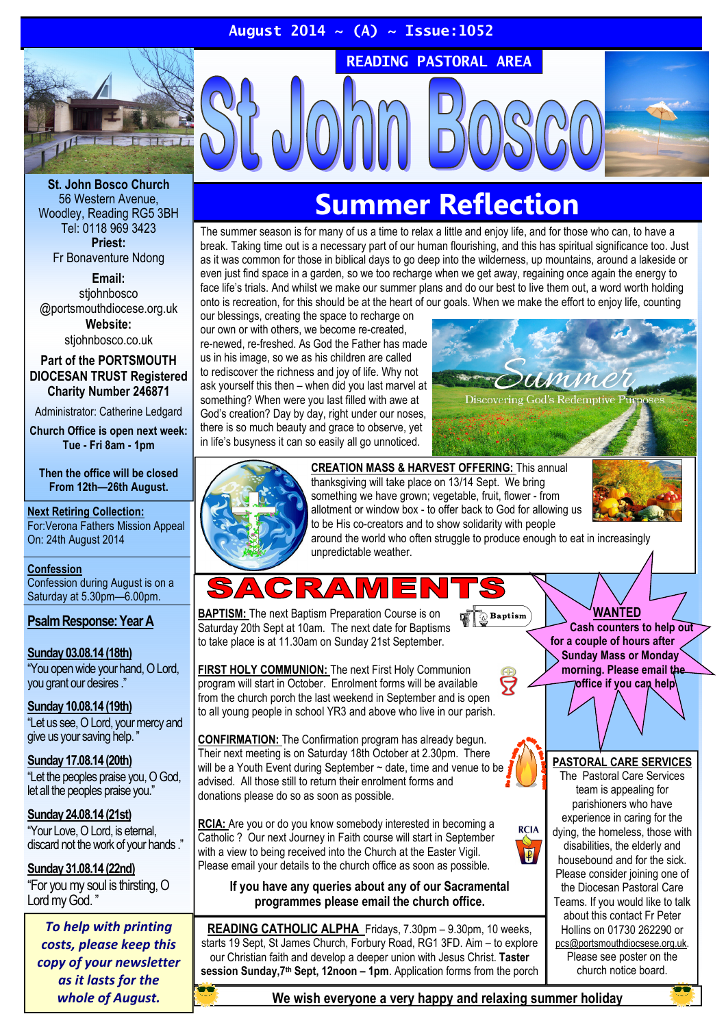### August 2014  $\sim$  (A)  $\sim$  Issue:1052



St. John Bosco Church 56 Western Avenue, Woodley, Reading RG5 3BH Tel: 0118 969 3423 Priest: Fr Bonaventure Ndong

Email: stiohnbosco @portsmouthdiocese.org.uk Website:

stjohnbosco.co.uk

#### Part of the PORTSMOUTH DIOCESAN TRUST Registered Charity Number 246871

Administrator: Catherine Ledgard

Church Office is open next week: Tue - Fri 8am - 1pm

Then the office will be closed From 12th—26th August.

### Next Retiring Collection:

For:Verona Fathers Mission Appeal On: 24th August 2014

#### Confession

Confession during August is on a Saturday at 5.30pm—6.00pm.

Psalm Response: Year A

Sunday 03.08.14 (18th) "You open wide your hand, O Lord, you grant our desires ."

Sunday 10.08.14 (19th) "Let us see, O Lord, your mercy and give us your saving help. "

Sunday 17.08.14 (20th) "Let the peoples praise you, O God, let all the peoples praise you."

Sunday 24.08.14 (21st) "Your Love, O Lord, is eternal, discard not the work of your hands ."

Sunday 31.08.14 (22nd) "For you my soul is thirsting, O Lord my God. "

To help with printing costs, please keep this copy of your newsletter as it lasts for the whole of August.

# Summer Reflection

READING PASTORAL AREA

The summer season is for many of us a time to relax a little and enjoy life, and for those who can, to have a break. Taking time out is a necessary part of our human flourishing, and this has spiritual significance too. Just as it was common for those in biblical days to go deep into the wilderness, up mountains, around a lakeside or even just find space in a garden, so we too recharge when we get away, regaining once again the energy to face life's trials. And whilst we make our summer plans and do our best to live them out, a word worth holding onto is recreation, for this should be at the heart of our goals. When we make the effort to enjoy life, counting

our blessings, creating the space to recharge on our own or with others, we become re-created, re-newed, re-freshed. As God the Father has made us in his image, so we as his children are called to rediscover the richness and joy of life. Why not ask yourself this then – when did you last marvel at something? When were you last filled with awe at God's creation? Day by day, right under our noses, there is so much beauty and grace to observe, yet in life's busyness it can so easily all go unnoticed.





CREATION MASS & HARVEST OFFERING: This annual thanksgiving will take place on 13/14 Sept. We bring something we have grown; vegetable, fruit, flower - from allotment or window box - to offer back to God for allowing us to be His co-creators and to show solidarity with people

around the world who often struggle to produce enough to eat in increasingly unpredictable weather.

**RCIA** 

 $\dot{q}$ 

# $\blacktriangle$ **Baptism**

**BAPTISM:** The next Baptism Preparation Course is on Saturday 20th Sept at 10am. The next date for Baptisms to take place is at 11.30am on Sunday 21st September.

FIRST HOLY COMMUNION: The next First Holy Communion program will start in October. Enrolment forms will be available from the church porch the last weekend in September and is open to all young people in school YR3 and above who live in our parish.

CONFIRMATION: The Confirmation program has already begun. Their next meeting is on Saturday 18th October at 2.30pm. There will be a Youth Event during September ~ date, time and venue to be advised. All those still to return their enrolment forms and donations please do so as soon as possible.

RCIA: Are you or do you know somebody interested in becoming a Catholic ? Our next Journey in Faith course will start in September with a view to being received into the Church at the Easter Vigil. Please email your details to the church office as soon as possible.

If you have any queries about any of our Sacramental programmes please email the church office.

READING CATHOLIC ALPHA Fridays, 7.30pm – 9.30pm, 10 weeks, starts 19 Sept, St James Church, Forbury Road, RG1 3FD. Aim – to explore our Christian faith and develop a deeper union with Jesus Christ. Taster session Sunday, 7<sup>th</sup> Sept, 12noon - 1pm. Application forms from the porch

WANTED Cash counters to help out for a couple of hours after Sunday Mass or Monday morning. Please email the office if you can help

### PASTORAL CARE SERVICES

The Pastoral Care Services team is appealing for parishioners who have experience in caring for the dying, the homeless, those with disabilities, the elderly and housebound and for the sick. Please consider joining one of the Diocesan Pastoral Care Teams. If you would like to talk about this contact Fr Peter Hollins on 01730 262290 or pcs@portsmouthdiocsese.org.uk. Please see poster on the church notice board.